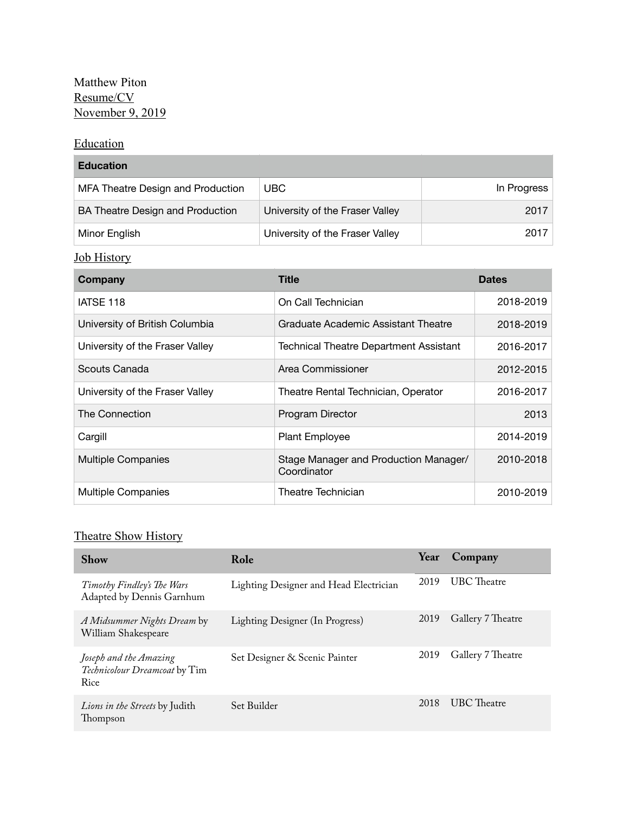## Matthew Piton Resume/CV November 9, 2019

## **Education**

| <b>Education</b>                  |                                 |             |  |
|-----------------------------------|---------------------------------|-------------|--|
| MFA Theatre Design and Production | UBC.                            | In Progress |  |
| BA Theatre Design and Production  | University of the Fraser Valley | 2017        |  |
| Minor English                     | University of the Fraser Valley | 2017        |  |

## Job History

| Company                         | Title                                                | <b>Dates</b> |
|---------------------------------|------------------------------------------------------|--------------|
| IATSE 118                       | On Call Technician                                   | 2018-2019    |
| University of British Columbia  | Graduate Academic Assistant Theatre                  | 2018-2019    |
| University of the Fraser Valley | <b>Technical Theatre Department Assistant</b>        | 2016-2017    |
| Scouts Canada                   | Area Commissioner                                    | 2012-2015    |
| University of the Fraser Valley | Theatre Rental Technician, Operator                  | 2016-2017    |
| The Connection                  | Program Director                                     | 2013         |
| Cargill                         | <b>Plant Employee</b>                                | 2014-2019    |
| <b>Multiple Companies</b>       | Stage Manager and Production Manager/<br>Coordinator | 2010-2018    |
| <b>Multiple Companies</b>       | Theatre Technician                                   | 2010-2019    |

## Theatre Show History

| <b>Show</b>                                                     | Role                                   | Year | Company            |
|-----------------------------------------------------------------|----------------------------------------|------|--------------------|
| Timothy Findley's The Wars<br>Adapted by Dennis Garnhum         | Lighting Designer and Head Electrician | 2019 | <b>UBC</b> Theatre |
| A Midsummer Nights Dream by<br>William Shakespeare              | Lighting Designer (In Progress)        | 2019 | Gallery 7 Theatre  |
| Joseph and the Amazing<br>Technicolour Dreamcoat by Tim<br>Rice | Set Designer & Scenic Painter          | 2019 | Gallery 7 Theatre  |
| <i>Lions in the Streets</i> by Judith<br>Thompson               | Set Builder                            | 2018 | <b>UBC</b> Theatre |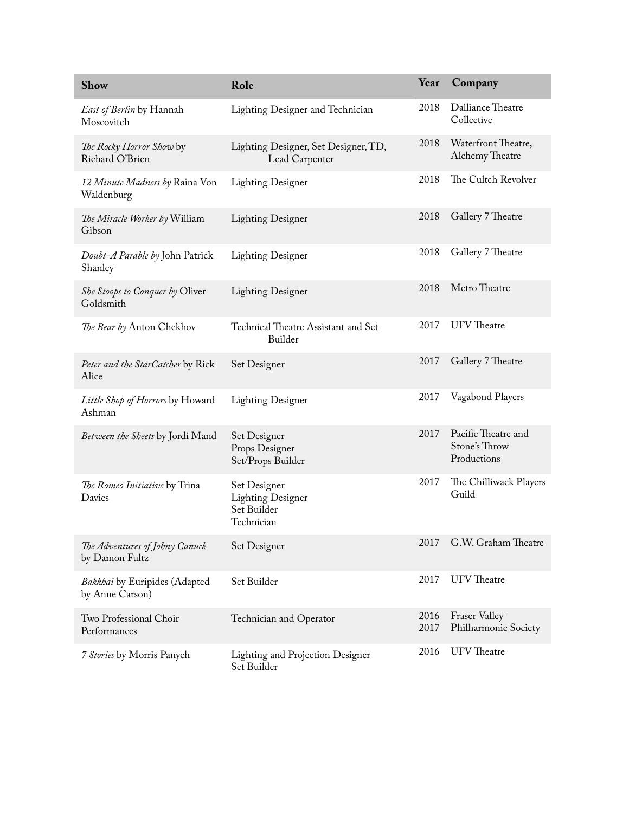| <b>Show</b>                                      | Role                                                                  | Year         | Company                                             |
|--------------------------------------------------|-----------------------------------------------------------------------|--------------|-----------------------------------------------------|
| East of Berlin by Hannah<br>Moscovitch           | Lighting Designer and Technician                                      | 2018         | Dalliance Theatre<br>Collective                     |
| The Rocky Horror Show by<br>Richard O'Brien      | Lighting Designer, Set Designer, TD,<br>Lead Carpenter                | 2018         | Waterfront Theatre,<br>Alchemy Theatre              |
| 12 Minute Madness by Raina Von<br>Waldenburg     | <b>Lighting Designer</b>                                              | 2018         | The Cultch Revolver                                 |
| The Miracle Worker by William<br>Gibson          | <b>Lighting Designer</b>                                              | 2018         | Gallery 7 Theatre                                   |
| Doubt-A Parable by John Patrick<br>Shanley       | <b>Lighting Designer</b>                                              | 2018         | Gallery 7 Theatre                                   |
| She Stoops to Conquer by Oliver<br>Goldsmith     | <b>Lighting Designer</b>                                              | 2018         | Metro Theatre                                       |
| The Bear by Anton Chekhov                        | Technical Theatre Assistant and Set<br>Builder                        | 2017         | <b>UFV</b> Theatre                                  |
| Peter and the StarCatcher by Rick<br>Alice       | Set Designer                                                          | 2017         | Gallery 7 Theatre                                   |
| Little Shop of Horrors by Howard<br>Ashman       | <b>Lighting Designer</b>                                              | 2017         | Vagabond Players                                    |
| Between the Sheets by Jordi Mand                 | Set Designer<br>Props Designer<br>Set/Props Builder                   | 2017         | Pacific Theatre and<br>Stone's Throw<br>Productions |
| The Romeo Initiative by Trina<br>Davies          | Set Designer<br><b>Lighting Designer</b><br>Set Builder<br>Technician | 2017         | The Chilliwack Players<br>Guild                     |
| The Adventures of Johny Canuck<br>by Damon Fultz | Set Designer                                                          | 2017         | G.W. Graham Theatre                                 |
| Bakkhai by Euripides (Adapted<br>by Anne Carson) | Set Builder                                                           | 2017         | <b>UFV</b> Theatre                                  |
| Two Professional Choir<br>Performances           | Technician and Operator                                               | 2016<br>2017 | <b>Fraser Valley</b><br>Philharmonic Society        |
| 7 Stories by Morris Panych                       | Lighting and Projection Designer<br>Set Builder                       | 2016         | <b>UFV</b> Theatre                                  |